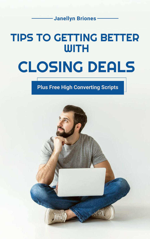### Janellyn Briones

# TIPS TO GETTING BETTER WITH

# CLOSING DEALS

### Plus Free High Converting Scripts

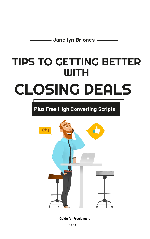Janellyn Briones –

# TIPS TO GETTING BETTER WITH

# CLOSING DEALS

### Plus Free High Converting Scripts



Guide for Freelancers

2020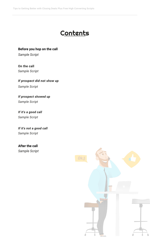

Before you hop on the call

Tips to Getting Better with Closing Deals Plus Free High Converting Scripts

On the call

Sample Script

If prospect did not show up

Sample Script

#### If prospect showed up

Sample Script

If it's a good call Sample Script

Sample Script

#### If it's not a good call Sample Script

#### After the call

Sample Script

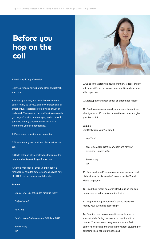Tips to Getting Better with Closing Deals Plus Free High Converting Scripts

## Before you hop on the call



1. Meditate/do yoga/exercise.

2. Have a nice, relaxing bath to clear and refresh your mind.

3. Dress up the way you want (with or without pants, totally up to you), and look professional or smart or fun, regardless if it's a video or just an audio call. "Dressing up the part" as if you already got the job/position you are applying for or as if you have already closed the deal will make wonders to your self-confidence.

4. Place a mirror beside your computer.

5. Watch a funny meme/video 1 hour before the call.

6. Smile or laugh at yourself while looking at the mirror and while watching a funny video.

7. Send a message or email your prospect a

reminder 30 minutes before your call saying how EXCITED you are to speak with him/her.

#### Sample:

Subject line: Our scheduled meeting today

Body of email:

Hey Tom!

Excited to chat with you later, 10:00 am EST!

Speak soon,

Jan

8. Go back to watching a few more funny videos, or play

with your kid/s, or get lots of hugs and kisses from your kids or partner.

9. Ladies, put your lipstick back on after those kisses.

10. Send a message or email your prospect a reminder about your call 15 minutes before the set time, and give your Zoom link.

#### Sample:

<hit Reply from your 1st email>

#### Hey Tom!

 Talk to you later. Here's our Zoom link for your reference - <zoom link>.

 Speak soon, Jan

11. Do a quick read/research about your prospect and his business via his website/LinkedIn profile/Social Media pages, etc.

12. Read their recent posts/articles/blogs so you can prepare some initial conversation topics.

13. Prepare your questions beforehand. Review or modify your questions accordingly

14. Practice reading your questions out loud or to yourself while facing the mirror, or practice with a partner. The important thing here is that you feel comfortable asking or saying them without stuttering or sounding like a robot during the call.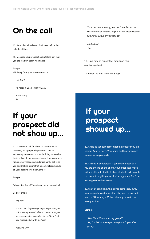15. Be on the call at least 10 minutes before the scheduled time.

16. Message your prospect again telling him that you are ready in Zoom when he is.

Sample:

<hit Reply from your previous email>

Hey Tom!

I'm ready in Zoom when you are.

Speak soon,

Jan

 To access our meeting, use the Zoom link or the Dial-in number included in your invite. Please let me know if you have any questions!

 All the best, Jan

18. Take note of his contact details on your monitoring sheet.

19. Follow up with him after 3 days.

20. Smile as you talk (remember the practice you did earlier? Apply it now). Your voice and tone becomes warmer when you smile.

21. Smiling is contagious. If you sound happy or if you are smiling on the phone, your prospect's mood will shift. He will start to feel comfortable talking with you. As with anything else, don't exaggerate. Don't be too happy or smile too much.

22. Start by asking how his day is going (stay away from asking how's the weather like), and do not just stop on, "How are you?" then abruptly move to the next question.

#### Sample:

 "Hey, Tom! How's your day going?" "Hi, Tom! Glad to see you today! How's your day going?"

# On the call

# If your prospect did not show up...

17. Wait on the call for about 15 minutes while reviewing your prepared questions, or while answering some emails, or while doing some other tasks online. If your prospect doesn't show up, send him another message about missing the call with you and that it's alright that he can still reschedule

on your booking link if he wants to.

#### Sample:

Subject line: Oops! You missed our scheduled call

Body of email:

Hey Tom,

 This is Jan. I hope everything is alright with you. Unfortunately, I wasn't able to connect with you for our scheduled call today. No problem! Feel free to reschedule with me here:

<Booking link>

If your prospect showed up...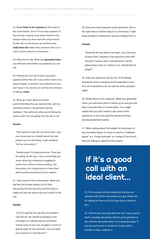23. Really listen to his response at the onset of the conversation. Even if it's an easy question of how his day is going, if you show interest in his answer before you even start the actual reason for the call, he will see you as someone who really hears him rather than someone who is in a rush to pitch a service on the phone.

24. Allow him to talk. When you genuinely listen, you will know what follow up questions you can ask.

25. Pretend as if you don't have a prepared question before the call. If you wrote it down on a sheet of paper or printed it out, pretend as if you don't have it. Do not look at it all the time while he is talking. Listen.

26. Bring up a topic about his recent post/article/blog that you read and like, and say something about it. Be genuine in giving feedback. They will know when you're faking the praises and if you are going over the top or not.

#### Sample:

 "That's great to hear! Oh, you know what, I saw your recent post on LinkedIn about this new product you are launching. Looks amazing! Tell me more about it."

 "Sounds great! I'm doing awesome. Thank you for asking. By the way, I saw a recent blog you wrote, about big companies struggling to switch from office to remote working. You have given a lot of good points in there that I think would be beneficial for your readers."

27. Take control of the conversation. When you feel like you've been taking a lot of time discussing how his day went, pull him back to reality and say the reason why you're both on the call.

#### Sample:

 "Cool! I'm glad by the way that you booked a call with me. We started exchanging some messages on LinkedIn and you somewhat shared some of your own struggles in terms of getting leads for your business. Are you ready now to jump on it and discuss?"

### cal with an ideal client...

28. Since you have prepared some questions, this is the right time to tell him about it so he knows it right away instead of making him see you reading from it.

#### Sample:

 "Great! By the way before we begin, I just want you to know that I prepared a few questions here with me and if I pause, that is only because I will be taking down notes as I listen to you. Would that be alright?"

29. Ask your questions one by one. If he already answered some in advance as he responds to your

first set of questions, do not ask the same question again.

30. Really listen to his response. When you genuinely listen, you will know what to follow up on and you will have a smooth flow of conversation. You might realize that you don't need to ask some of the questions on your list anymore because he has already explained it earlier.

31. When asking about the budget for the project or any monetary topics, it is best to ask for a "ballpark figure" or a "rough estimate" or a range of how much they are willing to spend for this project.

32. If he answers all your questions and you are satisfied with all the information you got, thank him for taking the time out of his busy day to attend to you.

33. Tell him the next step after the call. If you need to draft a strategy document, tell him you'll get back to him with the document after 3 or 5 business days. If you say you'll send a contract or invoice after x number of days, really do it.

If it's a good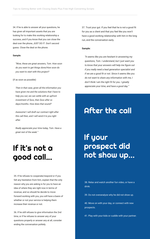34. If he is able to answer all your questions, he has given all important assets that you are looking for to make this working relationship a success, and if you know that you can close the deal over the phone, JUST DO IT. Don't second guess. Close the deal on the phone.

#### Sample:

 "Wow, these are great answers, Tom. How soon do you want to get things done/How soon do you want to start with this project?

(if as soon as possible)

 Then in that case, given all the information you have given me and the solutions that I have to help you out, we can settle with an upfront investment of \$xxx, then \$xxx after xx days/months. How does that sound?

 Awesome! I will draft our contract right after this call then, and I will send it to you right after.

 Really appreciate your time today, Tom. Have a great rest of the week."

37. Trust your gut. If you feel that he is not a good fit for you as a client and that you feel like you won't have a good working relationship with him in the long run, end the conversation early.

#### Sample:

 "It seems like you are hesitant in answering my questions, Tom. I understand, but I just want you to know that your answers will help me figure out if you really need a lead generation specialist and if we are a good fit or not. Since it seems like you do not want to share any information with me, I don't think I am the right fit for you. I greatly

appreciate your time, and have a good day."

38. Relax and watch another fun video, or have a drink.

#### 39. Do not overanalyze why he did not show up.

40. Move on with your day, or connect with new prospects.

41. Play with your kids or cuddle with your partner.

### After the call

If your prospect did not show up...

# If it's not a good call...

35. If he refuses to cooperate/respond or if you felt any hesitation from him, explain that the only reason why you are asking is for you to have an idea of where they are right now in terms of revenue, and so should he decide to move forward working with you, you will have a basis of whether or not your service is helping them increase their revenue or not.

36. If he still refuses to give information the 2nd time, or if he refuses to answer any of your questions properly or answer any at all, consider ending the conversation politely.